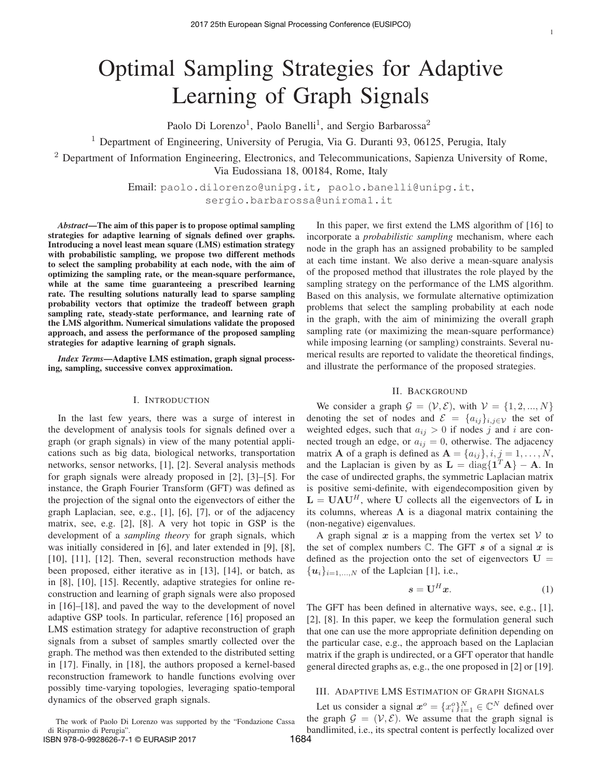# Optimal Sampling Strategies for Adaptive Learning of Graph Signals

Paolo Di Lorenzo<sup>1</sup>, Paolo Banelli<sup>1</sup>, and Sergio Barbarossa<sup>2</sup>

<sup>1</sup> Department of Engineering, University of Perugia, Via G. Duranti 93, 06125, Perugia, Italy

<sup>2</sup> Department of Information Engineering, Electronics, and Telecommunications, Sapienza University of Rome, Via Eudossiana 18, 00184, Rome, Italy

> Email: paolo.dilorenzo@unipg.it, paolo.banelli@unipg.it, sergio.barbarossa@uniroma1.it

*Abstract***—The aim of this paper is to propose optimal sampling strategies for adaptive learning of signals defined over graphs. Introducing a novel least mean square (LMS) estimation strategy with probabilistic sampling, we propose two different methods to select the sampling probability at each node, with the aim of optimizing the sampling rate, or the mean-square performance, while at the same time guaranteeing a prescribed learning rate. The resulting solutions naturally lead to sparse sampling probability vectors that optimize the tradeoff between graph sampling rate, steady-state performance, and learning rate of the LMS algorithm. Numerical simulations validate the proposed approach, and assess the performance of the proposed sampling strategies for adaptive learning of graph signals.**

*Index Terms***—Adaptive LMS estimation, graph signal processing, sampling, successive convex approximation.**

## I. INTRODUCTION

In the last few years, there was a surge of interest in the development of analysis tools for signals defined over a graph (or graph signals) in view of the many potential applications such as big data, biological networks, transportation networks, sensor networks, [1], [2]. Several analysis methods for graph signals were already proposed in [2], [3]–[5]. For instance, the Graph Fourier Transform (GFT) was defined as the projection of the signal onto the eigenvectors of either the graph Laplacian, see, e.g., [1], [6], [7], or of the adjacency matrix, see, e.g. [2], [8]. A very hot topic in GSP is the development of a *sampling theory* for graph signals, which was initially considered in [6], and later extended in [9], [8], [10], [11], [12]. Then, several reconstruction methods have been proposed, either iterative as in [13], [14], or batch, as in [8], [10], [15]. Recently, adaptive strategies for online reconstruction and learning of graph signals were also proposed in [16]–[18], and paved the way to the development of novel adaptive GSP tools. In particular, reference [16] proposed an LMS estimation strategy for adaptive reconstruction of graph signals from a subset of samples smartly collected over the graph. The method was then extended to the distributed setting in [17]. Finally, in [18], the authors proposed a kernel-based reconstruction framework to handle functions evolving over possibly time-varying topologies, leveraging spatio-temporal dynamics of the observed graph signals.

The work of Paolo Di Lorenzo was supported by the "Fondazione Cassa di Risparmio di Perugia".

ISBN 978-0-9928626-7-1 © EURASIP 2017

In this paper, we first extend the LMS algorithm of [16] to incorporate a *probabilistic sampling* mechanism, where each node in the graph has an assigned probability to be sampled at each time instant. We also derive a mean-square analysis of the proposed method that illustrates the role played by the sampling strategy on the performance of the LMS algorithm. Based on this analysis, we formulate alternative optimization problems that select the sampling probability at each node in the graph, with the aim of minimizing the overall graph sampling rate (or maximizing the mean-square performance) while imposing learning (or sampling) constraints. Several numerical results are reported to validate the theoretical findings, and illustrate the performance of the proposed strategies.

# II. BACKGROUND

We consider a graph  $\mathcal{G} = (\mathcal{V}, \mathcal{E})$ , with  $\mathcal{V} = \{1, 2, ..., N\}$ denoting the set of nodes and  $\mathcal{E} = \{a_{ij}\}_{i,j\in\mathcal{V}}$  the set of weighted edges, such that  $a_{ij} > 0$  if nodes j and i are connected trough an edge, or  $a_{ij} = 0$ , otherwise. The adjacency matrix **A** of a graph is defined as  $A = \{a_{ij}\}\,$ ,  $i, j = 1, \ldots, N$ , and the Laplacian is given by as  $\mathbf{L} = \text{diag}\{\mathbf{1}^T \mathbf{A}\} - \mathbf{A}$ . In the case of undirected graphs, the symmetric Laplacian matrix is positive semi-definite, with eigendecomposition given by  $L = U\Lambda U^H$ , where U collects all the eigenvectors of L in its columns, whereas  $\Lambda$  is a diagonal matrix containing the (non-negative) eigenvalues.

A graph signal  $x$  is a mapping from the vertex set  $V$  to the set of complex numbers  $\mathbb C$ . The GFT s of a signal x is defined as the projection onto the set of eigenvectors  $U =$  ${u_i}_{i=1,\ldots,N}$  of the Laplcian [1], i.e.,

$$
s = \mathbf{U}^H \mathbf{x}.\tag{1}
$$

The GFT has been defined in alternative ways, see, e.g., [1], [2], [8]. In this paper, we keep the formulation general such that one can use the more appropriate definition depending on the particular case, e.g., the approach based on the Laplacian matrix if the graph is undirected, or a GFT operator that handle general directed graphs as, e.g., the one proposed in [2] or [19].

## III. ADAPTIVE LMS ESTIMATION OF GRAPH SIGNALS

Let us consider a signal  $x^o = \{x_i^o\}_{i=1}^N \in \mathbb{C}^N$  defined over the graph  $\mathcal{G} = (\mathcal{V}, \mathcal{E})$ . We assume that the graph signal is bandlimited, i.e., its spectral content is perfectly localized over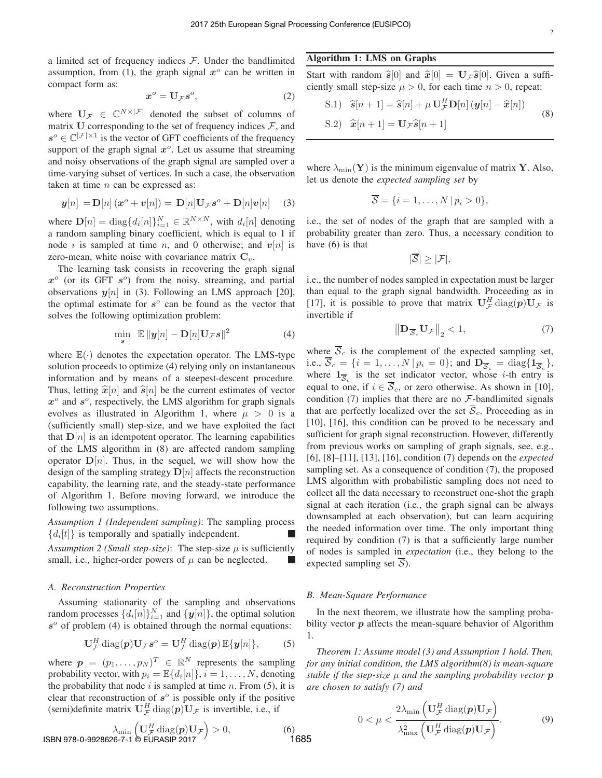a limited set of frequency indices  $F$ . Under the bandlimited assumption, from (1), the graph signal  $x^{\circ}$  can be written in compact form as:

$$
x^o = \mathbf{U}_{\mathcal{F}} s^o,\tag{2}
$$

where  $U_{\mathcal{F}} \in \mathbb{C}^{N \times |\mathcal{F}|}$  denoted the subset of columns of matrix U corresponding to the set of frequency indices  $\mathcal{F}$ , and  $s^o \in \mathbb{C}^{|\mathcal{F}| \times 1}$  is the vector of GFT coefficients of the frequency support of the graph signal  $x^{\circ}$ . Let us assume that streaming and noisy observations of the graph signal are sampled over a time-varying subset of vertices. In such a case, the observation taken at time  $n$  can be expressed as:

$$
\mathbf{y}[n] = \mathbf{D}[n](\mathbf{x}^o + \mathbf{v}[n]) = \mathbf{D}[n]\mathbf{U}_{\mathcal{F}}\mathbf{s}^o + \mathbf{D}[n]\mathbf{v}[n] \quad (3)
$$

where  $\mathbf{D}[n] = \text{diag}\{d_i[n]\}_{i=1}^N \in \mathbb{R}^{N \times N}$ , with  $d_i[n]$  denoting a random sampling binary coefficient, which is equal to 1 if node i is sampled at time n, and 0 otherwise; and  $v[n]$  is zero-mean, white noise with covariance matrix  $C_v$ .

The learning task consists in recovering the graph signal  $x^{\circ}$  (or its GFT  $s^{\circ}$ ) from the noisy, streaming, and partial observations  $y[n]$  in (3). Following an LMS approach [20], the optimal estimate for  $s^{\circ}$  can be found as the vector that solves the following optimization problem:

$$
\min_{\mathbf{s}} \ \mathbb{E} \|\mathbf{y}[n] - \mathbf{D}[n] \mathbf{U}_{\mathcal{F}} \mathbf{s}\|^2 \tag{4}
$$

where  $\mathbb{E}(\cdot)$  denotes the expectation operator. The LMS-type solution proceeds to optimize (4) relying only on instantaneous information and by means of a steepest-descent procedure. Thus, letting  $\hat{\mathbf{x}}[n]$  and  $\hat{\mathbf{s}}[n]$  be the current estimates of vector  $x^{\circ}$  and  $s^{\circ}$ , respectively, the LMS algorithm for graph signals evolves as illustrated in Algorithm 1, where  $\mu > 0$  is a (sufficiently small) step-size, and we have exploited the fact that  $D[n]$  is an idempotent operator. The learning capabilities of the LMS algorithm in (8) are affected random sampling operator  $D[n]$ . Thus, in the sequel, we will show how the design of the sampling strategy  $D[n]$  affects the reconstruction capability, the learning rate, and the steady-state performance of Algorithm 1. Before moving forward, we introduce the following two assumptions.

*Assumption 1 (Independent sampling)*: The sampling process  ${d_i[t]}$  is temporally and spatially independent.

*Assumption 2 (Small step-size)*: The step-size  $\mu$  is sufficiently small, i.e., higher-order powers of  $\mu$  can be neglected.

#### *A. Reconstruction Properties*

Assuming stationarity of the sampling and observations random processes  $\{d_i[n]\}_{i=1}^N$  and  $\{y[n]\}$ , the optimal solution  $s<sup>o</sup>$  of problem (4) is obtained through the normal equations:

$$
\mathbf{U}_{\mathcal{F}}^H \operatorname{diag}(\boldsymbol{p}) \mathbf{U}_{\mathcal{F}} \boldsymbol{s}^o = \mathbf{U}_{\mathcal{F}}^H \operatorname{diag}(\boldsymbol{p}) \mathbb{E} \{ \boldsymbol{y}[n] \},\tag{5}
$$

where  $\mathbf{p} = (p_1, \dots, p_N)^T \in \mathbb{R}^N$  represents the sampling probability vector, with  $p_i = \mathbb{E}\{d_i[n]\}, i = 1, \dots, N$ , denoting the probability that node  $i$  is sampled at time  $n$ . From (5), it is clear that reconstruction of  $s^{\circ}$  is possible only if the positive (semi)definite matrix  $\mathbf{U}_{\mathcal{F}}^H \text{diag}(p) \mathbf{U}_{\mathcal{F}}$  is invertible, i.e., if

$$
\lambda_{\min} \left( \mathbf{U}_{\mathcal{F}}^H \operatorname{diag}(p) \mathbf{U}_{\mathcal{F}} \right) > 0, \tag{6}
$$
\n
$$
\text{ISBN 978-0-9928626-7-1} \otimes \text{EURASIP 2017} \tag{6}
$$

## **Algorithm 1: LMS on Graphs**

Start with random  $\hat{s}[0]$  and  $\hat{x}[0] = U_{\mathcal{F}} \hat{s}[0]$ . Given a sufficiently small step-size  $\mu > 0$ , for each time  $n > 0$ , repeat:

S.1) 
$$
\hat{\mathbf{s}}[n+1] = \hat{\mathbf{s}}[n] + \mu \mathbf{U}_{\mathcal{F}}^H \mathbf{D}[n] (\mathbf{y}[n] - \hat{\mathbf{x}}[n])
$$
  
\nS.2)  $\hat{\mathbf{x}}[n+1] = \mathbf{U}_{\mathcal{F}} \hat{\mathbf{s}}[n+1]$  (8)

where  $\lambda_{\min}(\mathbf{Y})$  is the minimum eigenvalue of matrix **Y**. Also, let us denote the *expected sampling set* by

$$
\overline{S} = \{i = 1, \ldots, N \,|\, p_i > 0\},\
$$

i.e., the set of nodes of the graph that are sampled with a probability greater than zero. Thus, a necessary condition to have (6) is that

$$
|\overline{\mathcal{S}}|\geq |\mathcal{F}|,
$$

i.e., the number of nodes sampled in expectation must be larger than equal to the graph signal bandwidth. Proceeding as in [17], it is possible to prove that matrix  $\mathbf{U}_{\mathcal{F}}^H \text{diag}(p) \mathbf{U}_{\mathcal{F}}$  is invertible if

$$
\left\| \mathbf{D}_{\overline{\mathcal{S}}_c} \mathbf{U}_{\mathcal{F}} \right\|_2 < 1,\tag{7}
$$

where  $\overline{S}_c$  is the complement of the expected sampling set, i.e.,  $\overline{S}_c = \{i = 1, ..., N | p_i = 0\}$ ; and  $D_{\overline{S}_c} = \text{diag}\{1_{\overline{S}_c}\}\$ , where  $1_{\overline{S}_c}$  is the set indicator vector, whose *i*-th entry is equal to one, if  $i \in \overline{S_c}$ , or zero otherwise. As shown in [10], condition  $(7)$  implies that there are no  $\mathcal{F}\text{-bandlimited signals}$ that are perfectly localized over the set  $\overline{S}_c$ . Proceeding as in [10], [16], this condition can be proved to be necessary and sufficient for graph signal reconstruction. However, differently from previous works on sampling of graph signals, see, e.g., [6], [8]–[11], [13], [16], condition (7) depends on the *expected* sampling set. As a consequence of condition (7), the proposed LMS algorithm with probabilistic sampling does not need to collect all the data necessary to reconstruct one-shot the graph signal at each iteration (i.e., the graph signal can be always downsampled at each observation), but can learn acquiring the needed information over time. The only important thing required by condition (7) is that a sufficiently large number of nodes is sampled in *expectation* (i.e., they belong to the expected sampling set  $\overline{S}$ ).

## *B. Mean-Square Performance*

In the next theorem, we illustrate how the sampling probability vector  $p$  affects the mean-square behavior of Algorithm 1.

*Theorem 1: Assume model (3) and Assumption 1 hold. Then, for any initial condition, the LMS algorithm(8) is mean-square stable if the step-size*  $\mu$  *and the sampling probability vector*  $\boldsymbol{p}$ *are chosen to satisfy (7) and*

$$
0 < \mu < \frac{2\lambda_{\min}\left(\mathbf{U}_{\mathcal{F}}^H \operatorname{diag}(\boldsymbol{p}) \mathbf{U}_{\mathcal{F}}\right)}{\lambda_{\max}^2 \left(\mathbf{U}_{\mathcal{F}}^H \operatorname{diag}(\boldsymbol{p}) \mathbf{U}_{\mathcal{F}}\right)}.
$$
\n(9)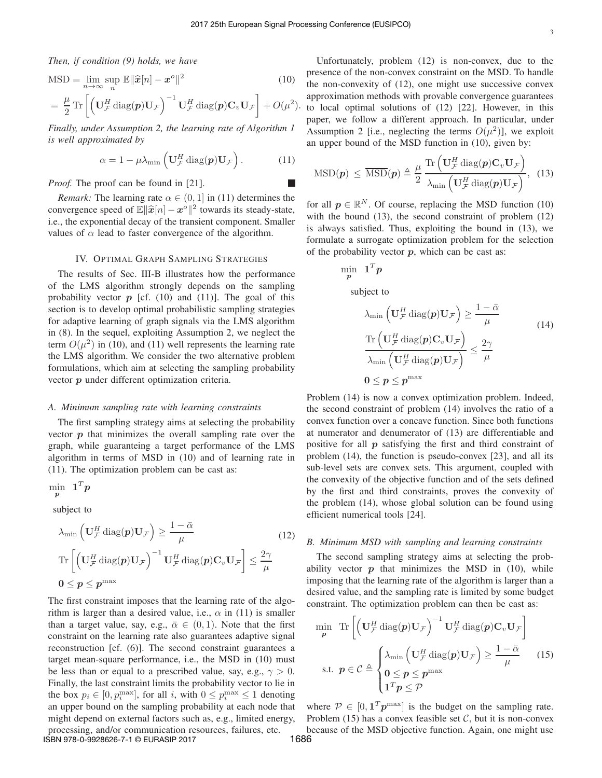*Then, if condition (9) holds, we have*

$$
MSD = \lim_{n \to \infty} \sup_{n} \mathbb{E} \|\hat{\boldsymbol{x}}[n] - \boldsymbol{x}^{o}\|^{2}
$$
(10)  
=  $\frac{\mu}{2}$  Tr  $\left[ \left( \mathbf{U}_{\mathcal{F}}^{H} \text{diag}(\boldsymbol{p}) \mathbf{U}_{\mathcal{F}} \right)^{-1} \mathbf{U}_{\mathcal{F}}^{H} \text{diag}(\boldsymbol{p}) \mathbf{C}_{v} \mathbf{U}_{\mathcal{F}} \right] + O(\mu^{2}).$ 

*Finally, under Assumption 2, the learning rate of Algorithm 1 is well approximated by*

$$
\alpha = 1 - \mu \lambda_{\min} \left( \mathbf{U}_{\mathcal{F}}^H \operatorname{diag}(\boldsymbol{p}) \mathbf{U}_{\mathcal{F}} \right). \tag{11}
$$

*Proof.* The proof can be found in [21].

*Remark:* The learning rate  $\alpha \in (0, 1]$  in (11) determines the convergence speed of  $\mathbb{E} \|\hat{x}[n] - x^{\circ}\|^2$  towards its steady-state, i.e., the exponential decay of the transient component. Smaller values of  $\alpha$  lead to faster convergence of the algorithm.

#### IV. OPTIMAL GRAPH SAMPLING STRATEGIES

The results of Sec. III-B illustrates how the performance of the LMS algorithm strongly depends on the sampling probability vector  $p$  [cf. (10) and (11)]. The goal of this section is to develop optimal probabilistic sampling strategies for adaptive learning of graph signals via the LMS algorithm in (8). In the sequel, exploiting Assumption 2, we neglect the term  $O(\mu^2)$  in (10), and (11) well represents the learning rate the LMS algorithm. We consider the two alternative problem formulations, which aim at selecting the sampling probability vector p under different optimization criteria.

#### *A. Minimum sampling rate with learning constraints*

The first sampling strategy aims at selecting the probability vector  $\boldsymbol{p}$  that minimizes the overall sampling rate over the graph, while guaranteing a target performance of the LMS algorithm in terms of MSD in (10) and of learning rate in (11). The optimization problem can be cast as:

 $\begin{array}{cc} \text{min} & \mathbf{1}^T\bm{p} \end{array}$ p

subject to

$$
\lambda_{\min} \left( \mathbf{U}_{\mathcal{F}}^H \operatorname{diag}(\boldsymbol{p}) \mathbf{U}_{\mathcal{F}} \right) \ge \frac{1 - \bar{\alpha}}{\mu} \tag{12}
$$
\n
$$
\operatorname{Tr} \left[ \left( \mathbf{U}_{\mathcal{F}}^H \operatorname{diag}(\boldsymbol{p}) \mathbf{U}_{\mathcal{F}} \right)^{-1} \mathbf{U}_{\mathcal{F}}^H \operatorname{diag}(\boldsymbol{p}) \mathbf{C}_v \mathbf{U}_{\mathcal{F}} \right] \le \frac{2\gamma}{\mu}
$$
\n
$$
\mathbf{0} \le \boldsymbol{p} \le \boldsymbol{p}^{\max}
$$

The first constraint imposes that the learning rate of the algorithm is larger than a desired value, i.e.,  $\alpha$  in (11) is smaller than a target value, say, e.g.,  $\bar{\alpha} \in (0, 1)$ . Note that the first constraint on the learning rate also guarantees adaptive signal reconstruction [cf. (6)]. The second constraint guarantees a target mean-square performance, i.e., the MSD in (10) must be less than or equal to a prescribed value, say, e.g.,  $\gamma > 0$ . Finally, the last constraint limits the probability vector to lie in the box  $p_i \in [0, p_i^{\max}]$ , for all i, with  $0 \le p_i^{\max} \le 1$  denoting an upper bound on the sampling probability at each node that might depend on external factors such as, e.g., limited energy, processing, and/or communication resources, failures, etc. ISBN 978-0-9928626-7-1 © EURASIP 2017

Unfortunately, problem (12) is non-convex, due to the presence of the non-convex constraint on the MSD. To handle the non-convexity of (12), one might use successive convex approximation methods with provable convergence guarantees to local optimal solutions of (12) [22]. However, in this paper, we follow a different approach. In particular, under Assumption 2 [i.e., neglecting the terms  $O(\mu^2)$ ], we exploit an upper bound of the MSD function in (10), given by:

$$
\mathrm{MSD}(\boldsymbol{p}) \leq \overline{\mathrm{MSD}}(\boldsymbol{p}) \triangleq \frac{\mu}{2} \frac{\mathrm{Tr}\left(\mathbf{U}_{\mathcal{F}}^H \mathrm{diag}(\boldsymbol{p}) \mathbf{C}_v \mathbf{U}_{\mathcal{F}}\right)}{\lambda_{\min} \left(\mathbf{U}_{\mathcal{F}}^H \mathrm{diag}(\boldsymbol{p}) \mathbf{U}_{\mathcal{F}}\right)}, \quad (13)
$$

for all  $p \in \mathbb{R}^N$ . Of course, replacing the MSD function (10) with the bound (13), the second constraint of problem (12) is always satisfied. Thus, exploiting the bound in (13), we formulate a surrogate optimization problem for the selection of the probability vector  $p$ , which can be cast as:

$$
\min_{\mathbf{p}} \quad \mathbf{1}^{T} \mathbf{p}
$$
\nsubject to\n
$$
\lambda_{\min} \left( \mathbf{U}_{\mathcal{F}}^{H} \operatorname{diag}(\mathbf{p}) \mathbf{U}_{\mathcal{F}} \right) \geq \frac{1 - \bar{\alpha}}{\mu}
$$
\n
$$
\frac{\operatorname{Tr} \left( \mathbf{U}_{\mathcal{F}}^{H} \operatorname{diag}(\mathbf{p}) \mathbf{C}_{v} \mathbf{U}_{\mathcal{F}} \right)}{\lambda_{\min} \left( \mathbf{U}_{\mathcal{F}}^{H} \operatorname{diag}(\mathbf{p}) \mathbf{U}_{\mathcal{F}} \right)} \leq \frac{2\gamma}{\mu}
$$
\n
$$
0 \leq \mathbf{p} \leq \mathbf{p}^{\max}
$$
\n(14)

Problem (14) is now a convex optimization problem. Indeed, the second constraint of problem (14) involves the ratio of a convex function over a concave function. Since both functions at numerator and denumerator of (13) are differentiable and positive for all  $p$  satisfying the first and third constraint of problem (14), the function is pseudo-convex [23], and all its sub-level sets are convex sets. This argument, coupled with the convexity of the objective function and of the sets defined by the first and third constraints, proves the convexity of the problem (14), whose global solution can be found using efficient numerical tools [24].

#### *B. Minimum MSD with sampling and learning constraints*

The second sampling strategy aims at selecting the probability vector  $p$  that minimizes the MSD in (10), while imposing that the learning rate of the algorithm is larger than a desired value, and the sampling rate is limited by some budget constraint. The optimization problem can then be cast as:

$$
\min_{\mathbf{p}} \operatorname{Tr} \left[ \left( \mathbf{U}_{\mathcal{F}}^{H} \operatorname{diag}(\mathbf{p}) \mathbf{U}_{\mathcal{F}} \right)^{-1} \mathbf{U}_{\mathcal{F}}^{H} \operatorname{diag}(\mathbf{p}) \mathbf{C}_{v} \mathbf{U}_{\mathcal{F}} \right]
$$
\n
$$
\text{s.t. } \mathbf{p} \in \mathcal{C} \triangleq \begin{cases} \lambda_{\min} \left( \mathbf{U}_{\mathcal{F}}^{H} \operatorname{diag}(\mathbf{p}) \mathbf{U}_{\mathcal{F}} \right) \geq \frac{1 - \bar{\alpha}}{\mu} \\ 0 \leq \mathbf{p} \leq \mathbf{p}^{\max} \\ 1^{T} \mathbf{p} \leq \mathcal{P} \end{cases} \tag{15}
$$

where  $P \in [0, 1^T p^{\max}]$  is the budget on the sampling rate. Problem (15) has a convex feasible set  $C$ , but it is non-convex because of the MSD objective function. Again, one might use 1686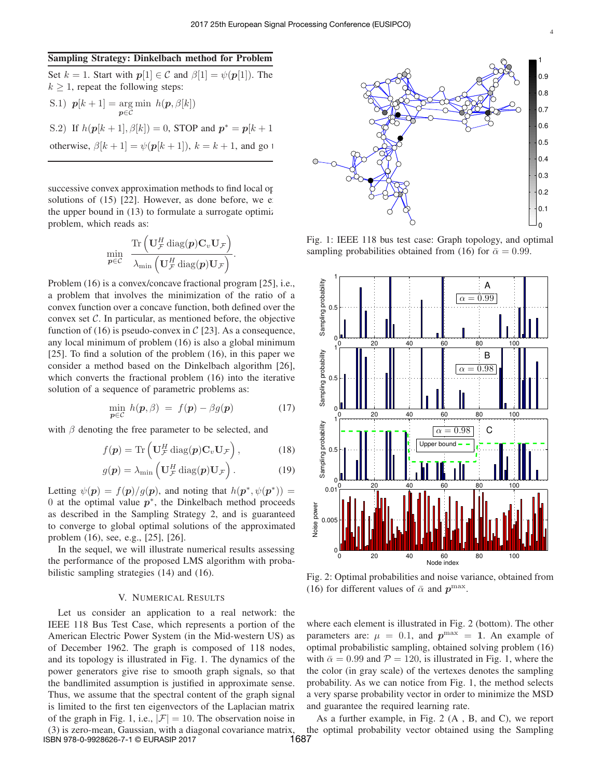#### **Sampling Strategy: Dinkelbach method for Problem**

Set  $k = 1$ . Start with  $p[1] \in \mathcal{C}$  and  $\beta[1] = \psi(p[1])$ . The  $k \geq 1$ , repeat the following steps:

\n- S.1) 
$$
p[k+1] = \argmin_{p \in \mathcal{C}} h(p, \beta[k])
$$
\n- S.2) If  $h(p[k+1], \beta[k]) = 0$ , STOP and  $p^* = p[k+1]$  otherwise,  $\beta[k+1] = \psi(p[k+1])$ ,  $k = k+1$ , and go to  $k$ .
\n

successive convex approximation methods to find local optimal solutions of  $(15)$   $[22]$ . However, as done before, we exploited the upper bound in  $(13)$  to formulate a surrogate optimiz problem, which reads as:

$$
\min_{\boldsymbol{p}\in\mathcal{C}}\;\; \frac{\text{Tr}\left(\mathbf{U}^H_{\mathcal{F}}\,\text{diag}(\boldsymbol{p})\mathbf{C}_v\mathbf{U}_{\mathcal{F}}\right)}{\lambda_{\text{min}}\left(\mathbf{U}^H_{\mathcal{F}}\,\text{diag}(\boldsymbol{p})\mathbf{U}_{\mathcal{F}}\right)}.
$$

Problem (16) is a convex/concave fractional program [25], i.e., a problem that involves the minimization of the ratio of a convex function over a concave function, both defined over the convex set  $C$ . In particular, as mentioned before, the objective function of (16) is pseudo-convex in  $\mathcal{C}$  [23]. As a consequence, any local minimum of problem (16) is also a global minimum [25]. To find a solution of the problem (16), in this paper we consider a method based on the Dinkelbach algorithm [26], which converts the fractional problem (16) into the iterative solution of a sequence of parametric problems as:

$$
\min_{\mathbf{p}\in\mathcal{C}}\,h(\mathbf{p},\beta)\ =\ f(\mathbf{p})-\beta g(\mathbf{p})\tag{17}
$$

with  $\beta$  denoting the free parameter to be selected, and

$$
f(\mathbf{p}) = \text{Tr}\left(\mathbf{U}_{\mathcal{F}}^H \text{diag}(\mathbf{p}) \mathbf{C}_v \mathbf{U}_{\mathcal{F}}\right),\tag{18}
$$

$$
g(\mathbf{p}) = \lambda_{\min} \left( \mathbf{U}_{\mathcal{F}}^H \operatorname{diag}(\mathbf{p}) \mathbf{U}_{\mathcal{F}} \right). \tag{19}
$$

Letting  $\psi(\mathbf{p}) = f(\mathbf{p})/g(\mathbf{p})$ , and noting that  $h(\mathbf{p}^*, \psi(\mathbf{p}^*)) =$ 0 at the optimal value  $p^*$ , the Dinkelbach method proceeds as described in the Sampling Strategy 2, and is guaranteed to converge to global optimal solutions of the approximated problem (16), see, e.g., [25], [26].

In the sequel, we will illustrate numerical results assessing the performance of the proposed LMS algorithm with probabilistic sampling strategies (14) and (16).

#### V. NUMERICAL RESULTS

Let us consider an application to a real network: the IEEE 118 Bus Test Case, which represents a portion of the American Electric Power System (in the Mid-western US) as of December 1962. The graph is composed of 118 nodes, and its topology is illustrated in Fig. 1. The dynamics of the power generators give rise to smooth graph signals, so that the bandlimited assumption is justified in approximate sense. Thus, we assume that the spectral content of the graph signal is limited to the first ten eigenvectors of the Laplacian matrix of the graph in Fig. 1, i.e.,  $|\mathcal{F}| = 10$ . The observation noise in (3) is zero-mean, Gaussian, with a diagonal covariance matrix, the SBN 978-0-9928626-7-1 © EURASIP 2017 ISBN 978-0-9928626-7-1 © EURASIP 2017



Fig. 1: IEEE 118 bus test case: Graph topology, and optimal sampling probabilities obtained from (16) for  $\bar{\alpha} = 0.99$ .



Fig. 2: Optimal probabilities and noise variance, obtained from (16) for different values of  $\bar{\alpha}$  and  $p^{\max}$ .

where each element is illustrated in Fig. 2 (bottom). The other parameters are:  $\mu = 0.1$ , and  $p^{\max} = 1$ . An example of optimal probabilistic sampling, obtained solving problem (16) with  $\bar{\alpha} = 0.99$  and  $\mathcal{P} = 120$ , is illustrated in Fig. 1, where the the color (in gray scale) of the vertexes denotes the sampling probability. As we can notice from Fig. 1, the method selects a very sparse probability vector in order to minimize the MSD and guarantee the required learning rate.

As a further example, in Fig. 2 (A , B, and C), we report the optimal probability vector obtained using the Sampling